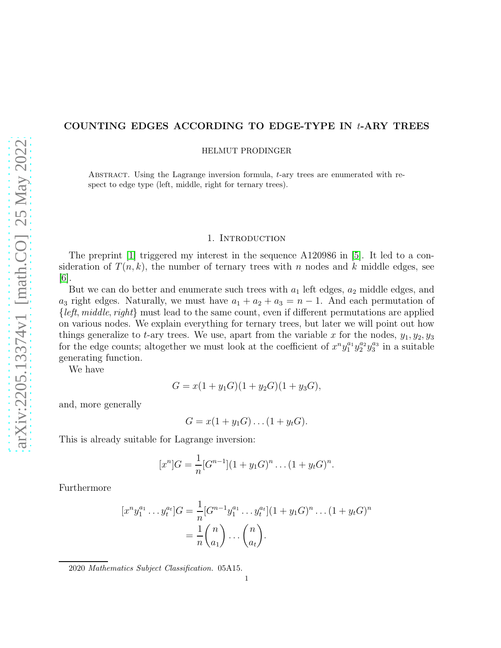# COUNTING EDGES ACCORDING TO EDGE-TYPE IN  $t$ -ARY TREES

HELMUT PRODINGER

Abstract. Using the Lagrange inversion formula, t-ary trees are enumerated with respect to edge type (left, middle, right for ternary trees).

# 1. INTRODUCTION

The preprint [\[1\]](#page-1-0) triggered my interest in the sequence A120986 in [\[5\]](#page-1-1). It led to a consideration of  $T(n, k)$ , the number of ternary trees with n nodes and k middle edges, see  $|6|$ .

But we can do better and enumerate such trees with  $a_1$  left edges,  $a_2$  middle edges, and  $a_3$  right edges. Naturally, we must have  $a_1 + a_2 + a_3 = n - 1$ . And each permutation of  $\{left, middle, right\}$  must lead to the same count, even if different permutations are applied on various nodes. We explain everything for ternary trees, but later we will point out how things generalize to t-ary trees. We use, apart from the variable x for the nodes,  $y_1, y_2, y_3$ for the edge counts; altogether we must look at the coefficient of  $x^n y_1^{a_1} y_2^{a_2} y_3^{a_3}$  in a suitable generating function.

We have

$$
G = x(1 + y_1 G)(1 + y_2 G)(1 + y_3 G),
$$

and, more generally

$$
G = x(1 + y1G)\dots(1 + ytG).
$$

This is already suitable for Lagrange inversion:

$$
[x^n]G = \frac{1}{n}[G^{n-1}](1+y_1G)^n \dots (1+y_tG)^n.
$$

Furthermore

$$
[x^n y_1^{a_1} \dots y_t^{a_t}]G = \frac{1}{n} [G^{n-1} y_1^{a_1} \dots y_t^{a_t}] (1 + y_1 G)^n \dots (1 + y_t G)^n
$$
  
=  $\frac{1}{n} {n \choose a_1} \dots {n \choose a_t}.$ 

2020 Mathematics Subject Classification. 05A15.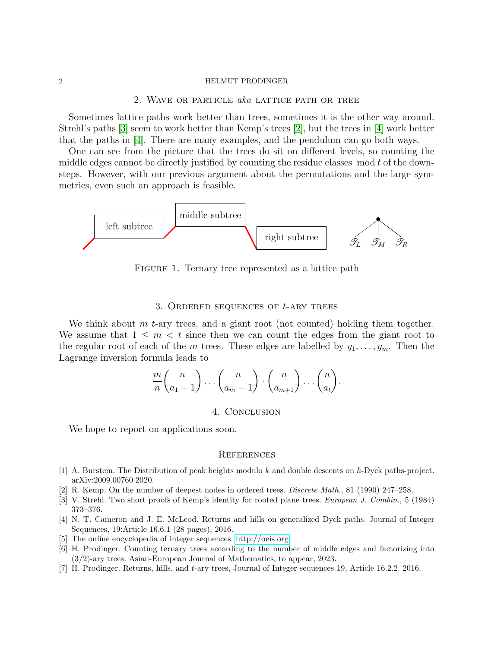#### 2 HELMUT PRODINGER

# 2. Wave or particle aka lattice path or tree

Sometimes lattice paths work better than trees, sometimes it is the other way around. Strehl's paths [\[3\]](#page-1-3) seem to work better than Kemp's trees [\[2\]](#page-1-4), but the trees in [\[4\]](#page-1-5) work better that the paths in [\[4\]](#page-1-5). There are many examples, and the pendulum can go both ways.

One can see from the picture that the trees do sit on different levels, so counting the middle edges cannot be directly justified by counting the residue classes  $\mod t$  of the downsteps. However, with our previous argument about the permutations and the large symmetries, even such an approach is feasible.



FIGURE 1. Ternary tree represented as a lattice path

#### 3. ORDERED SEQUENCES OF  $t$ -ARY TREES

We think about  $m$  t-ary trees, and a giant root (not counted) holding them together. We assume that  $1 \leq m < t$  since then we can count the edges from the giant root to the regular root of each of the m trees. These edges are labelled by  $y_1, \ldots, y_m$ . Then the Lagrange inversion formula leads to

$$
\frac{m}{n} {n \choose a_1-1} \cdots {n \choose a_m-1} \cdot {n \choose a_{m+1}} \cdots {n \choose a_t}.
$$

## 4. Conclusion

We hope to report on applications soon.

## **REFERENCES**

- <span id="page-1-4"></span><span id="page-1-0"></span>[1] A. Burstein. The Distribution of peak heights modulo k and double descents on k-Dyck paths-project. arXiv:2009.00760 2020.
- <span id="page-1-3"></span>[2] R. Kemp. On the number of deepest nodes in ordered trees. Discrete Math., 81 (1990) 247–258.
- <span id="page-1-5"></span>[3] V. Strehl. Two short proofs of Kemp's identity for rooted plane trees. European J. Combin., 5 (1984) 373–376.
- [4] N. T. Cameron and J. E. McLeod. Returns and hills on generalized Dyck paths. Journal of Integer Sequences, 19:Article 16.6.1 (28 pages), 2016.
- <span id="page-1-2"></span><span id="page-1-1"></span>[5] The online encyclopedia of integer sequences. [http://oeis.org.](http://oeis.org)
- [6] H. Prodinger. Counting ternary trees according to the number of middle edges and factorizing into (3/2)-ary trees. Asian-European Journal of Mathematics, to appear, 2023.
- [7] H. Prodinger. Returns, hills, and t-ary trees, Journal of Integer sequences 19, Article 16.2.2. 2016.